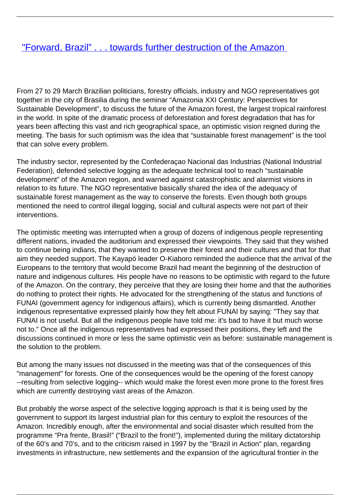## ["Forward, Brazil" . . . towards further destruction of the Amazon](/bulletin-articles/forward-brazil-towards-further-destruction-of-the-amazon)

From 27 to 29 March Brazilian politicians, forestry officials, industry and NGO representatives got together in the city of Brasilia during the seminar "Amazonia XXI Century: Perspectives for Sustainable Development", to discuss the future of the Amazon forest, the largest tropical rainforest in the world. In spite of the dramatic process of deforestation and forest degradation that has for years been affecting this vast and rich geographical space, an optimistic vision reigned during the meeting. The basis for such optimism was the idea that "sustainable forest management" is the tool that can solve every problem.

The industry sector, represented by the Confederaçao Nacional das Industrias (National Industrial Federation), defended selective logging as the adequate technical tool to reach "sustainable development" of the Amazon region, and warned against catastrophistic and alarmist visions in relation to its future. The NGO representative basically shared the idea of the adequacy of sustainable forest management as the way to conserve the forests. Even though both groups mentioned the need to control illegal logging, social and cultural aspects were not part of their interventions.

The optimistic meeting was interrupted when a group of dozens of indigenous people representing different nations, invaded the auditorium and expressed their viewpoints. They said that they wished to continue being indians, that they wanted to preserve their forest and their cultures and that for that aim they needed support. The Kayapó leader O-Kiaboro reminded the audience that the arrival of the Europeans to the territory that would become Brazil had meant the beginning of the destruction of nature and indigenous cultures. His people have no reasons to be optimistic with regard to the future of the Amazon. On the contrary, they perceive that they are losing their home and that the authorities do nothing to protect their rights. He advocated for the strengthening of the status and functions of FUNAI (government agency for indigenous affairs), which is currently being dismantled. Another indigenous representative expressed plainly how they felt about FUNAI by saying: "They say that FUNAI is not useful. But all the indigenous people have told me: it's bad to have it but much worse not to." Once all the indigenous representatives had expressed their positions, they left and the discussions continued in more or less the same optimistic vein as before: sustainable management is the solution to the problem.

But among the many issues not discussed in the meeting was that of the consequences of this "management" for forests. One of the consequences would be the opening of the forest canopy --resulting from selective logging-- which would make the forest even more prone to the forest fires which are currently destroying vast areas of the Amazon.

But probably the worse aspect of the selective logging approach is that it is being used by the government to support its largest industrial plan for this century to exploit the resources of the Amazon. Incredibly enough, after the environmental and social disaster which resulted from the programme "Pra frente, Brasil!" ("Brazil to the front!"), implemented during the military dictatorship of the 60's and 70's, and to the criticism raised in 1997 by the "Brazil in Action" plan, regarding investments in infrastructure, new settlements and the expansion of the agricultural frontier in the